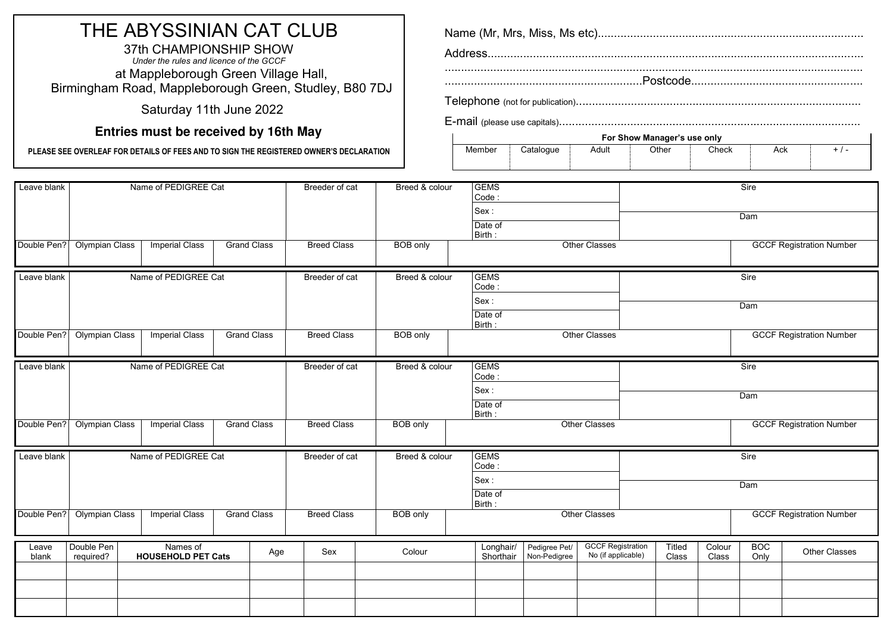# THE ABYSSINIAN CAT CLUB

37th CHAMPIONSHIP SHOW *Under the rules and licence of the GCCF*  37th CHAMPIONSHIP SHOW<br>Under the rules and licence of the GCCF<br>at Mappleborough Green Village Hall, Birmingham Road, Mappleborough Green, Studley, B80 7DJ

Saturday 11th June 2022

# **Entries must be received by 16th May**

**PLEASE SEE OVERLEAF FOR DETAILS OF FEES AND TO SIGN THE REGISTERED OWNER'S DECLARATION**

|        |           |       | For Show Manager's use only |       |     |       |
|--------|-----------|-------|-----------------------------|-------|-----|-------|
| Member | Cataloque | Adult | Other                       | Check | Ack | + / - |
|        |           |       |                             |       |     |       |

| Leave blank |                       | Name of PEDIGREE Cat      |                    | Breeder of cat     | Breed & colour  | <b>GEMS</b><br>Code:<br>Sex:<br>Date of |               |                          | Sire<br>Dam                     |        |                                 |
|-------------|-----------------------|---------------------------|--------------------|--------------------|-----------------|-----------------------------------------|---------------|--------------------------|---------------------------------|--------|---------------------------------|
|             |                       |                           |                    |                    |                 | Birth:                                  |               |                          |                                 |        |                                 |
| Double Pen? | <b>Olympian Class</b> | <b>Imperial Class</b>     | <b>Grand Class</b> | <b>Breed Class</b> | <b>BOB</b> only |                                         |               | <b>Other Classes</b>     |                                 |        | <b>GCCF Registration Number</b> |
| Leave blank |                       | Name of PEDIGREE Cat      |                    | Breeder of cat     | Breed & colour  | <b>GEMS</b><br>Code:                    |               |                          |                                 |        | Sire                            |
|             |                       |                           |                    |                    |                 | Sex:                                    |               |                          |                                 |        | Dam                             |
|             |                       |                           |                    |                    |                 | Date of                                 |               |                          |                                 |        |                                 |
|             |                       |                           |                    |                    |                 | Birth:                                  |               |                          |                                 |        |                                 |
| Double Pen? | <b>Olympian Class</b> | <b>Imperial Class</b>     | <b>Grand Class</b> | <b>Breed Class</b> | <b>BOB</b> only |                                         |               | <b>Other Classes</b>     |                                 |        | <b>GCCF Registration Number</b> |
| Leave blank |                       | Name of PEDIGREE Cat      |                    | Breeder of cat     | Breed & colour  | <b>GEMS</b>                             |               |                          | Sire                            |        |                                 |
|             |                       |                           |                    |                    | Code:           |                                         |               |                          |                                 |        |                                 |
|             |                       |                           |                    |                    |                 | Sex:                                    |               |                          |                                 |        | Dam                             |
|             |                       |                           |                    |                    |                 | Date of<br>Birth:                       |               |                          |                                 |        |                                 |
| Double Pen? | <b>Olympian Class</b> | <b>Imperial Class</b>     | <b>Grand Class</b> | <b>Breed Class</b> | <b>BOB</b> only |                                         |               | Other Classes            | <b>GCCF Registration Number</b> |        |                                 |
| Leave blank |                       | Name of PEDIGREE Cat      |                    | Breeder of cat     | Breed & colour  | <b>GEMS</b>                             |               |                          |                                 |        | Sire                            |
|             |                       |                           |                    |                    |                 | Code:<br>Sex:<br>Dam<br>Date of         |               |                          |                                 |        |                                 |
|             |                       |                           |                    |                    |                 |                                         |               |                          |                                 |        |                                 |
|             |                       |                           |                    |                    |                 |                                         |               |                          |                                 |        |                                 |
|             |                       |                           |                    |                    |                 | Birth:                                  |               |                          |                                 |        |                                 |
| Double Pen? | <b>Olympian Class</b> | <b>Imperial Class</b>     | <b>Grand Class</b> | <b>Breed Class</b> | <b>BOB</b> only |                                         |               | <b>Other Classes</b>     |                                 |        | <b>GCCF Registration Number</b> |
| Leave       | Double Pen            | Names of                  |                    | Sex                |                 | Longhair/                               | Pedigree Pet/ | <b>GCCF Registration</b> | Titled                          | Colour | <b>BOC</b>                      |
| blank       | required?             | <b>HOUSEHOLD PET Cats</b> | Age                |                    | Colour          | Shorthair                               | Non-Pedigree  | No (if applicable)       | Class                           | Class  | Other Classes<br>Only           |
|             |                       |                           |                    |                    |                 |                                         |               |                          |                                 |        |                                 |
|             |                       |                           |                    |                    |                 |                                         |               |                          |                                 |        |                                 |
|             |                       |                           |                    |                    |                 |                                         |               |                          |                                 |        |                                 |